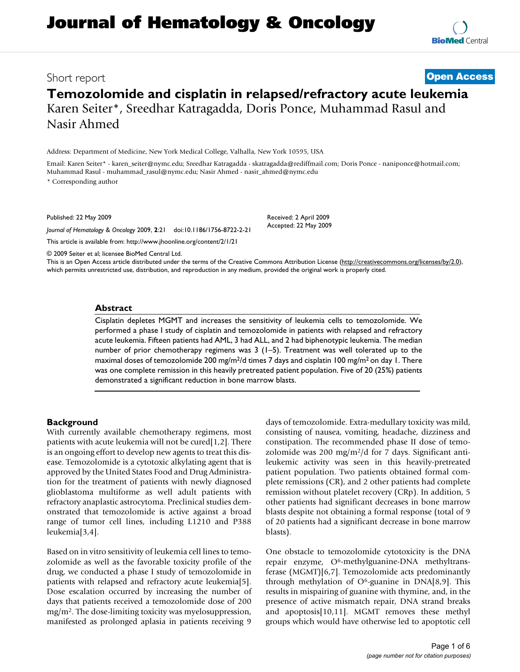# **Temozolomide and cisplatin in relapsed/refractory acute leukemia** Karen Seiter\*, Sreedhar Katragadda, Doris Ponce, Muhammad Rasul and Nasir Ahmed

Address: Department of Medicine, New York Medical College, Valhalla, New York 10595, USA

Email: Karen Seiter\* - karen\_seiter@nymc.edu; Sreedhar Katragadda - skatragadda@rediffmail.com; Doris Ponce - naniponce@hotmail.com; Muhammad Rasul - muhammad\_rasul@nymc.edu; Nasir Ahmed - nasir\_ahmed@nymc.edu

\* Corresponding author

Published: 22 May 2009

*Journal of Hematology & Oncology* 2009, **2**:21 doi:10.1186/1756-8722-2-21

[This article is available from: http://www.jhoonline.org/content/2/1/21](http://www.jhoonline.org/content/2/1/21)

Accepted: 22 May 2009

Received: 2 April 2009

© 2009 Seiter et al; licensee BioMed Central Ltd.

This is an Open Access article distributed under the terms of the Creative Commons Attribution License [\(http://creativecommons.org/licenses/by/2.0\)](http://creativecommons.org/licenses/by/2.0), which permits unrestricted use, distribution, and reproduction in any medium, provided the original work is properly cited.

# **Abstract**

Cisplatin depletes MGMT and increases the sensitivity of leukemia cells to temozolomide. We performed a phase I study of cisplatin and temozolomide in patients with relapsed and refractory acute leukemia. Fifteen patients had AML, 3 had ALL, and 2 had biphenotypic leukemia. The median number of prior chemotherapy regimens was 3 (1–5). Treatment was well tolerated up to the maximal doses of temozolomide 200 mg/m<sup>2</sup>/d times 7 days and cisplatin 100 mg/m<sup>2</sup> on day 1. There was one complete remission in this heavily pretreated patient population. Five of 20 (25%) patients demonstrated a significant reduction in bone marrow blasts.

## **Background**

With currently available chemotherapy regimens, most patients with acute leukemia will not be cured[1,2]. There is an ongoing effort to develop new agents to treat this disease. Temozolomide is a cytotoxic alkylating agent that is approved by the United States Food and Drug Administration for the treatment of patients with newly diagnosed glioblastoma multiforme as well adult patients with refractory anaplastic astrocytoma. Preclinical studies demonstrated that temozolomide is active against a broad range of tumor cell lines, including L1210 and P388 leukemia[3,4].

Based on in vitro sensitivity of leukemia cell lines to temozolomide as well as the favorable toxicity profile of the drug, we conducted a phase I study of temozolomide in patients with relapsed and refractory acute leukemia[5]. Dose escalation occurred by increasing the number of days that patients received a temozolomide dose of 200 mg/m2. The dose-limiting toxicity was myelosuppression, manifested as prolonged aplasia in patients receiving 9

days of temozolomide. Extra-medullary toxicity was mild, consisting of nausea, vomiting, headache, dizziness and constipation. The recommended phase II dose of temozolomide was 200 mg/m<sup>2</sup>/d for 7 days. Significant antileukemic activity was seen in this heavily-pretreated patient population. Two patients obtained formal complete remissions (CR), and 2 other patients had complete remission without platelet recovery (CRp). In addition, 5 other patients had significant decreases in bone marrow blasts despite not obtaining a formal response (total of 9 of 20 patients had a significant decrease in bone marrow blasts).

One obstacle to temozolomide cytotoxicity is the DNA repair enzyme, O6-methylguanine-DNA methyltransferase (MGMT)[6,7]. Temozolomide acts predominantly through methylation of  $O<sup>6</sup>$ -guanine in DNA[8,9]. This results in mispairing of guanine with thymine, and, in the presence of active mismatch repair, DNA strand breaks and apoptosis[10,11]. MGMT removes these methyl groups which would have otherwise led to apoptotic cell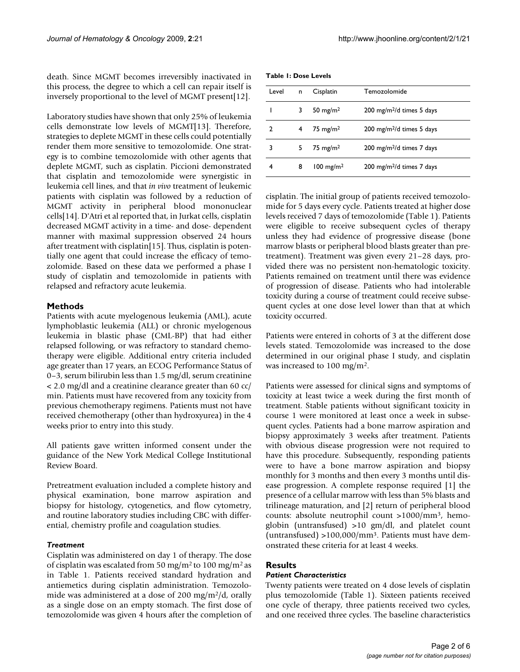death. Since MGMT becomes irreversibly inactivated in this process, the degree to which a cell can repair itself is inversely proportional to the level of MGMT present[12].

Laboratory studies have shown that only 25% of leukemia cells demonstrate low levels of MGMT[13]. Therefore, strategies to deplete MGMT in these cells could potentially render them more sensitive to temozolomide. One strategy is to combine temozolomide with other agents that deplete MGMT, such as cisplatin. Piccioni demonstrated that cisplatin and temozolomide were synergistic in leukemia cell lines, and that *in vivo* treatment of leukemic patients with cisplatin was followed by a reduction of MGMT activity in peripheral blood mononuclear cells[14]. D'Atri et al reported that, in Jurkat cells, cisplatin decreased MGMT activity in a time- and dose- dependent manner with maximal suppression observed 24 hours after treatment with cisplatin[[15](#page-5-0)]. Thus, cisplatin is potentially one agent that could increase the efficacy of temozolomide. Based on these data we performed a phase I study of cisplatin and temozolomide in patients with relapsed and refractory acute leukemia.

# **Methods**

Patients with acute myelogenous leukemia (AML), acute lymphoblastic leukemia (ALL) or chronic myelogenous leukemia in blastic phase (CML-BP) that had either relapsed following, or was refractory to standard chemotherapy were eligible. Additional entry criteria included age greater than 17 years, an ECOG Performance Status of 0–3, serum bilirubin less than 1.5 mg/dl, serum creatinine < 2.0 mg/dl and a creatinine clearance greater than 60 cc/ min. Patients must have recovered from any toxicity from previous chemotherapy regimens. Patients must not have received chemotherapy (other than hydroxyurea) in the 4 weeks prior to entry into this study.

All patients gave written informed consent under the guidance of the New York Medical College Institutional Review Board.

Pretreatment evaluation included a complete history and physical examination, bone marrow aspiration and biopsy for histology, cytogenetics, and flow cytometry, and routine laboratory studies including CBC with differential, chemistry profile and coagulation studies.

## *Treatment*

Cisplatin was administered on day 1 of therapy. The dose of cisplatin was escalated from 50 mg/m<sup>2</sup> to 100 mg/m<sup>2</sup> as in Table 1. Patients received standard hydration and antiemetics during cisplatin administration. Temozolomide was administered at a dose of 200 mg/m2/d, orally as a single dose on an empty stomach. The first dose of temozolomide was given 4 hours after the completion of

**Table 1: Dose Levels**

| Level         | n | Cisplatin               | Temozolomide                          |
|---------------|---|-------------------------|---------------------------------------|
|               | 3 | 50 mg/m <sup>2</sup>    | 200 mg/m $^{2}/d$ times 5 days        |
| $\mathcal{P}$ | 4 | $75 \text{ mg/m}^2$     | 200 mg/m <sup>2</sup> /d times 5 days |
| 3             | 5 | 75 mg/m $^2$            | 200 mg/m <sup>2</sup> /d times 7 days |
| 4             | 8 | $100$ mg/m <sup>2</sup> | 200 mg/m <sup>2</sup> /d times 7 days |

cisplatin. The initial group of patients received temozolomide for 5 days every cycle. Patients treated at higher dose levels received 7 days of temozolomide (Table 1). Patients were eligible to receive subsequent cycles of therapy unless they had evidence of progressive disease (bone marrow blasts or peripheral blood blasts greater than pretreatment). Treatment was given every 21–28 days, provided there was no persistent non-hematologic toxicity. Patients remained on treatment until there was evidence of progression of disease. Patients who had intolerable toxicity during a course of treatment could receive subsequent cycles at one dose level lower than that at which toxicity occurred.

Patients were entered in cohorts of 3 at the different dose levels stated. Temozolomide was increased to the dose determined in our original phase I study, and cisplatin was increased to 100 mg/m2.

Patients were assessed for clinical signs and symptoms of toxicity at least twice a week during the first month of treatment. Stable patients without significant toxicity in course 1 were monitored at least once a week in subsequent cycles. Patients had a bone marrow aspiration and biopsy approximately 3 weeks after treatment. Patients with obvious disease progression were not required to have this procedure. Subsequently, responding patients were to have a bone marrow aspiration and biopsy monthly for 3 months and then every 3 months until disease progression. A complete response required [1] the presence of a cellular marrow with less than 5% blasts and trilineage maturation, and [2] return of peripheral blood counts: absolute neutrophil count >1000/mm3, hemoglobin (untransfused) >10 gm/dl, and platelet count (untransfused) >100,000/mm3. Patients must have demonstrated these criteria for at least 4 weeks.

# **Results**

## *Patient Characteristics*

Twenty patients were treated on 4 dose levels of cisplatin plus temozolomide (Table 1). Sixteen patients received one cycle of therapy, three patients received two cycles, and one received three cycles. The baseline characteristics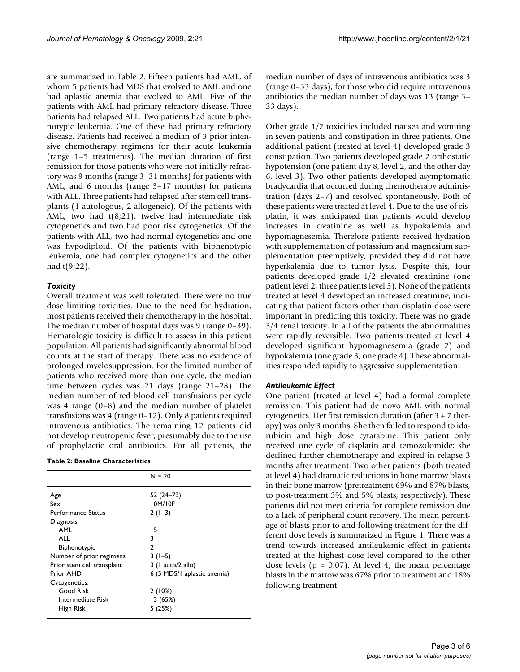are summarized in Table 2. Fifteen patients had AML, of whom 5 patients had MDS that evolved to AML and one had aplastic anemia that evolved to AML. Five of the patients with AML had primary refractory disease. Three patients had relapsed ALL. Two patients had acute biphenotypic leukemia. One of these had primary refractory disease. Patients had received a median of 3 prior intensive chemotherapy regimens for their acute leukemia (range 1–5 treatments). The median duration of first remission for those patients who were not initially refractory was 9 months (range 3–31 months) for patients with AML, and 6 months (range 3–17 months) for patients with ALL. Three patients had relapsed after stem cell transplants (1 autologous, 2 allogeneic). Of the patients with AML, two had t(8;21), twelve had intermediate risk cytogenetics and two had poor risk cytogenetics. Of the patients with ALL, two had normal cytogenetics and one was hypodiploid. Of the patients with biphenotypic leukemia, one had complex cytogenetics and the other had t(9;22).

# *Toxicity*

Overall treatment was well tolerated. There were no true dose limiting toxicities. Due to the need for hydration, most patients received their chemotherapy in the hospital. The median number of hospital days was 9 (range 0–39). Hematologic toxicity is difficult to assess in this patient population. All patients had significantly abnormal blood counts at the start of therapy. There was no evidence of prolonged myelosuppression. For the limited number of patients who received more than one cycle, the median time between cycles was 21 days (range 21–28). The median number of red blood cell transfusions per cycle was 4 range (0–8) and the median number of platelet transfusions was 4 (range 0–12). Only 8 patients required intravenous antibiotics. The remaining 12 patients did not develop neutropenic fever, presumably due to the use of prophylactic oral antibiotics. For all patients, the

#### **Table 2: Baseline Characteristics**

|                            | $N = 20$                    |
|----------------------------|-----------------------------|
| Age                        | $52(24-73)$                 |
| Sex                        | 10M/10F                     |
| Performance Status         | $2(1-3)$                    |
| Diagnosis:                 |                             |
| AML                        | 15                          |
| <b>ALL</b>                 | 3                           |
| Biphenotypic               | $\mathcal{P}$               |
| Number of prior regimens   | $3(1-5)$                    |
| Prior stem cell transplant | $3$ (1 auto/2 allo)         |
| Prior AHD                  | 6 (5 MDS/1 aplastic anemia) |
| Cytogenetics:              |                             |
| Good Risk                  | 2(10%)                      |
| Intermediate Risk          | 13 (65%)                    |
| High Risk                  | 5(25%)                      |
|                            |                             |

median number of days of intravenous antibiotics was 3 (range 0–33 days); for those who did require intravenous antibiotics the median number of days was 13 (range 3– 33 days).

Other grade 1/2 toxicities included nausea and vomiting in seven patients and constipation in three patients. One additional patient (treated at level 4) developed grade 3 constipation. Two patients developed grade 2 orthostatic hypotension (one patient day 8, level 2, and the other day 6, level 3). Two other patients developed asymptomatic bradycardia that occurred during chemotherapy administration (days 2–7) and resolved spontaneously. Both of these patients were treated at level 4. Due to the use of cisplatin, it was anticipated that patients would develop increases in creatinine as well as hypokalemia and hypomagnesemia. Therefore patients received hydration with supplementation of potassium and magnesium supplementation preemptively, provided they did not have hyperkalemia due to tumor lysis. Despite this, four patients developed grade 1/2 elevated creatinine (one patient level 2, three patients level 3). None of the patients treated at level 4 developed an increased creatinine, indicating that patient factors other than cisplatin dose were important in predicting this toxicity. There was no grade 3/4 renal toxicity. In all of the patients the abnormalities were rapidly reversible. Two patients treated at level 4 developed significant hypomagnesemia (grade 2) and hypokalemia (one grade 3, one grade 4). These abnormalities responded rapidly to aggressive supplementation.

## *Antileukemic Effect*

One patient (treated at level 4) had a formal complete remission. This patient had de novo AML with normal cytogenetics. Her first remission duration (after 3 + 7 therapy) was only 3 months. She then failed to respond to idarubicin and high dose cytarabine. This patient only received one cycle of cisplatin and temozolomide; she declined further chemotherapy and expired in relapse 3 months after treatment. Two other patients (both treated at level 4) had dramatic reductions in bone marrow blasts in their bone marrow (pretreatment 69% and 87% blasts, to post-treatment 3% and 5% blasts, respectively). These patients did not meet criteria for complete remission due to a lack of peripheral count recovery. The mean percentage of blasts prior to and following treatment for the different dose levels is summarized in Figure 1. There was a trend towards increased antileukemic effect in patients treated at the highest dose level compared to the other dose levels ( $p = 0.07$ ). At level 4, the mean percentage blasts in the marrow was 67% prior to treatment and 18% following treatment.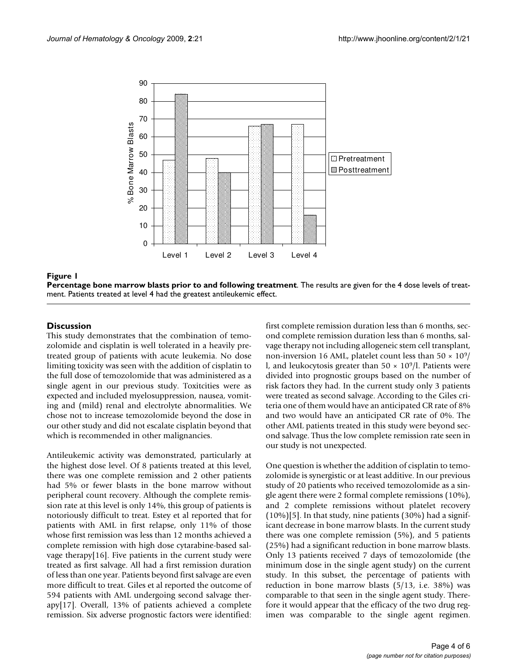

## **Figure 1**

**Percentage bone marrow blasts prior to and following treatment**. The results are given for the 4 dose levels of treatment. Patients treated at level 4 had the greatest antileukemic effect.

# **Discussion**

This study demonstrates that the combination of temozolomide and cisplatin is well tolerated in a heavily pretreated group of patients with acute leukemia. No dose limiting toxicity was seen with the addition of cisplatin to the full dose of temozolomide that was administered as a single agent in our previous study. Toxitcities were as expected and included myelosuppression, nausea, vomiting and (mild) renal and electrolyte abnormalities. We chose not to increase temozolomide beyond the dose in our other study and did not escalate cisplatin beyond that which is recommended in other malignancies.

Antileukemic activity was demonstrated, particularly at the highest dose level. Of 8 patients treated at this level, there was one complete remission and 2 other patients had 5% or fewer blasts in the bone marrow without peripheral count recovery. Although the complete remission rate at this level is only 14%, this group of patients is notoriously difficult to treat. Estey et al reported that for patients with AML in first relapse, only 11% of those whose first remission was less than 12 months achieved a complete remission with high dose cytarabine-based salvage therapy[16]. Five patients in the current study were treated as first salvage. All had a first remission duration of less than one year. Patients beyond first salvage are even more difficult to treat. Giles et al reported the outcome of 594 patients with AML undergoing second salvage therapy[17]. Overall, 13% of patients achieved a complete remission. Six adverse prognostic factors were identified:

first complete remission duration less than 6 months, second complete remission duration less than 6 months, salvage therapy not including allogeneic stem cell transplant, non-inversion 16 AML, platelet count less than  $50 \times 10^9$ / l, and leukocytosis greater than  $50 \times 10^9$ /l. Patients were divided into prognostic groups based on the number of risk factors they had. In the current study only 3 patients were treated as second salvage. According to the Giles criteria one of them would have an anticipated CR rate of 8% and two would have an anticipated CR rate of 0%. The other AML patients treated in this study were beyond second salvage. Thus the low complete remission rate seen in our study is not unexpected.

One question is whether the addition of cisplatin to temozolomide is synergistic or at least additive. In our previous study of 20 patients who received temozolomide as a single agent there were 2 formal complete remissions (10%), and 2 complete remissions without platelet recovery (10%)[5]. In that study, nine patients (30%) had a significant decrease in bone marrow blasts. In the current study there was one complete remission (5%), and 5 patients (25%) had a significant reduction in bone marrow blasts. Only 13 patients received 7 days of temozolomide (the minimum dose in the single agent study) on the current study. In this subset, the percentage of patients with reduction in bone marrow blasts (5/13, i.e. 38%) was comparable to that seen in the single agent study. Therefore it would appear that the efficacy of the two drug regimen was comparable to the single agent regimen.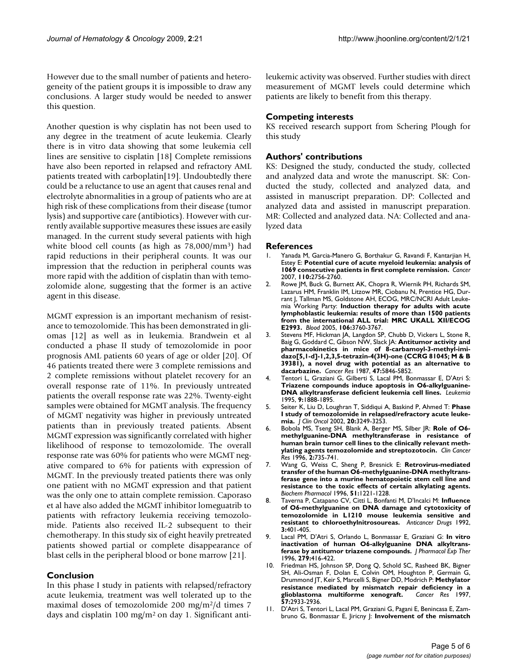However due to the small number of patients and heterogeneity of the patient groups it is impossible to draw any conclusions. A larger study would be needed to answer this question.

Another question is why cisplatin has not been used to any degree in the treatment of acute leukemia. Clearly there is in vitro data showing that some leukemia cell lines are sensitive to cisplatin [18] Complete remissions have also been reported in relapsed and refractory AML patients treated with carboplatin[19]. Undoubtedly there could be a reluctance to use an agent that causes renal and electrolyte abnormalities in a group of patients who are at high risk of these complications from their disease (tumor lysis) and supportive care (antibiotics). However with currently available supportive measures these issues are easily managed. In the current study several patients with high white blood cell counts (as high as 78,000/mm3) had rapid reductions in their peripheral counts. It was our impression that the reduction in peripheral counts was more rapid with the addition of cisplatin than with temozolomide alone, suggesting that the former is an active agent in this disease.

MGMT expression is an important mechanism of resistance to temozolomide. This has been demonstrated in gliomas [12] as well as in leukemia. Brandwein et al conducted a phase II study of temozolomide in poor prognosis AML patients 60 years of age or older [20]. Of 46 patients treated there were 3 complete remissions and 2 complete remissions without platelet recovery for an overall response rate of 11%. In previously untreated patients the overall response rate was 22%. Twenty-eight samples were obtained for MGMT analysis. The frequency of MGMT negativity was higher in previously untreated patients than in previously treated patients. Absent MGMT expression was significantly correlated with higher likelihood of response to temozolomide. The overall response rate was 60% for patients who were MGMT negative compared to 6% for patients with expression of MGMT. In the previously treated patients there was only one patient with no MGMT expression and that patient was the only one to attain complete remission. Caporaso et al have also added the MGMT inhibitor lomeguatrib to patients with refractory leukemia receiving temozolomide. Patients also received IL-2 subsequent to their chemotherapy. In this study six of eight heavily pretreated patients showed partial or complete disappearance of blast cells in the peripheral blood or bone marrow [21].

# **Conclusion**

In this phase I study in patients with relapsed/refractory acute leukemia, treatment was well tolerated up to the maximal doses of temozolomide 200 mg/m2/d times 7 days and cisplatin 100 mg/m2 on day 1. Significant antileukemic activity was observed. Further studies with direct measurement of MGMT levels could determine which patients are likely to benefit from this therapy.

# **Competing interests**

KS received research support from Schering Plough for this study

# **Authors' contributions**

KS: Designed the study, conducted the study, collected and analyzed data and wrote the manuscript. SK: Conducted the study, collected and analyzed data, and assisted in manuscript preparation. DP: Collected and analyzed data and assisted in manuscript preparation. MR: Collected and analyzed data. NA: Collected and analyzed data

# **References**

- 1. Yanada M, Garcia-Manero G, Borthakur G, Ravandi F, Kantarjian H, Estey E: **[Potential cure of acute myeloid leukemia: analysis of](http://www.ncbi.nlm.nih.gov/entrez/query.fcgi?cmd=Retrieve&db=PubMed&dopt=Abstract&list_uids=17948909) [1069 consecutive patients in first complete remission.](http://www.ncbi.nlm.nih.gov/entrez/query.fcgi?cmd=Retrieve&db=PubMed&dopt=Abstract&list_uids=17948909)** *Cancer* 2007, **110:**2756-2760.
- 2. Rowe JM, Buck G, Burnett AK, Chopra R, Wiernik PH, Richards SM, Lazarus HM, Franklin IM, Litzow MR, Ciobanu N, Prentice HG, Durrant J, Tallman MS, Goldstone AH, ECOG, MRC/NCRI Adult Leukemia Working Party: **[Induction therapy for adults with acute](http://www.ncbi.nlm.nih.gov/entrez/query.fcgi?cmd=Retrieve&db=PubMed&dopt=Abstract&list_uids=16105981) [lymphoblastic leukemia: results of more than 1500 patients](http://www.ncbi.nlm.nih.gov/entrez/query.fcgi?cmd=Retrieve&db=PubMed&dopt=Abstract&list_uids=16105981) from the international ALL trial: MRC UKALL XII/ECOG [E2993.](http://www.ncbi.nlm.nih.gov/entrez/query.fcgi?cmd=Retrieve&db=PubMed&dopt=Abstract&list_uids=16105981)** *Blood* 2005, **106:**3760-3767.
- 3. Stevens MF, Hickman JA, Langdon SP, Chubb D, Vickers L, Stone R, Baig G, Goddard C, Gibson NW, Slack JA: **[Antitumor activity and](http://www.ncbi.nlm.nih.gov/entrez/query.fcgi?cmd=Retrieve&db=PubMed&dopt=Abstract&list_uids=3664486) [pharmacokinetics in mice of 8-carbamoyl-3-methyl-imi](http://www.ncbi.nlm.nih.gov/entrez/query.fcgi?cmd=Retrieve&db=PubMed&dopt=Abstract&list_uids=3664486)dazo[5,1-d]-1,2,3,5-tetrazin-4(3H)-one (CCRG 81045; M & B 39381), a novel drug with potential as an alternative to [dacarbazine.](http://www.ncbi.nlm.nih.gov/entrez/query.fcgi?cmd=Retrieve&db=PubMed&dopt=Abstract&list_uids=3664486)** *Cancer Res* 1987, **47:**5846-5852.
- 4. Tentori L, Graziani G, Gilberti S, Lacal PM, Bonmassar E, D'Atri S: **[Triazene compounds induce apoptosis in O6-alkylguanine-](http://www.ncbi.nlm.nih.gov/entrez/query.fcgi?cmd=Retrieve&db=PubMed&dopt=Abstract&list_uids=7475280)[DNA alkyltransferase deficient leukemia cell lines.](http://www.ncbi.nlm.nih.gov/entrez/query.fcgi?cmd=Retrieve&db=PubMed&dopt=Abstract&list_uids=7475280)** *Leukemia* 1995, **9:**1888-1895.
- 5. Seiter K, Liu D, Loughran T, Siddiqui A, Baskind P, Ahmed T: **[Phase](http://www.ncbi.nlm.nih.gov/entrez/query.fcgi?cmd=Retrieve&db=PubMed&dopt=Abstract&list_uids=12149298) [I study of temozolomide in relapsed/refractory acute leuke](http://www.ncbi.nlm.nih.gov/entrez/query.fcgi?cmd=Retrieve&db=PubMed&dopt=Abstract&list_uids=12149298)[mia.](http://www.ncbi.nlm.nih.gov/entrez/query.fcgi?cmd=Retrieve&db=PubMed&dopt=Abstract&list_uids=12149298)** *J Clin Oncol* 2002, **20:**3249-3253.
- 6. Bobola MS, Tseng SH, Blank A, Berger MS, Silber JR: **[Role of O6](http://www.ncbi.nlm.nih.gov/entrez/query.fcgi?cmd=Retrieve&db=PubMed&dopt=Abstract&list_uids=9816224) [methylguanine-DNA methyltransferase in resistance of](http://www.ncbi.nlm.nih.gov/entrez/query.fcgi?cmd=Retrieve&db=PubMed&dopt=Abstract&list_uids=9816224) human brain tumor cell lines to the clinically relevant meth[ylating agents temozolomide and streptozotocin.](http://www.ncbi.nlm.nih.gov/entrez/query.fcgi?cmd=Retrieve&db=PubMed&dopt=Abstract&list_uids=9816224)** *Clin Cancer Res* 1996, **2:**735-741.
- 7. Wang G, Weiss C, Sheng P, Bresnick E: **[Retrovirus-mediated](http://www.ncbi.nlm.nih.gov/entrez/query.fcgi?cmd=Retrieve&db=PubMed&dopt=Abstract&list_uids=8645346) transfer of the human O6-methylguanine-DNA methyltrans[ferase gene into a murine hematopoietic stem cell line and](http://www.ncbi.nlm.nih.gov/entrez/query.fcgi?cmd=Retrieve&db=PubMed&dopt=Abstract&list_uids=8645346) resistance to the toxic effects of certain alkylating agents.** *Biochem Pharmacol* 1996, **51:**1221-1228.
- 8. Taverna P, Catapano CV, Citti L, Bonfanti M, D'Incalci M: **[Influence](http://www.ncbi.nlm.nih.gov/entrez/query.fcgi?cmd=Retrieve&db=PubMed&dopt=Abstract&list_uids=1421437) [of O6-methylguanine on DNA damage and cytotoxicity of](http://www.ncbi.nlm.nih.gov/entrez/query.fcgi?cmd=Retrieve&db=PubMed&dopt=Abstract&list_uids=1421437) temozolomide in L1210 mouse leukemia sensitive and [resistant to chloroethylnitrosoureas.](http://www.ncbi.nlm.nih.gov/entrez/query.fcgi?cmd=Retrieve&db=PubMed&dopt=Abstract&list_uids=1421437)** *Anticancer Drugs* 1992, **3:**401-405.
- 9. Lacal PM, D'Atri S, Orlando L, Bonmassar E, Graziani G: **[In vitro](http://www.ncbi.nlm.nih.gov/entrez/query.fcgi?cmd=Retrieve&db=PubMed&dopt=Abstract&list_uids=8859021) [inactivation of human O6-alkylguanine DNA alkyltrans](http://www.ncbi.nlm.nih.gov/entrez/query.fcgi?cmd=Retrieve&db=PubMed&dopt=Abstract&list_uids=8859021)[ferase by antitumor triazene compounds.](http://www.ncbi.nlm.nih.gov/entrez/query.fcgi?cmd=Retrieve&db=PubMed&dopt=Abstract&list_uids=8859021)** *J Pharmacol Exp Ther* 1996, **279:**416-422.
- 10. Friedman HS, Johnson SP, Dong Q, Schold SC, Rasheed BK, Bigner SH, Ali-Osman F, Dolan E, Colvin OM, Houghton P, Germain G, Drummond JT, Keir S, Marcelli S, Bigner DD, Modrich P: **[Methylator](http://www.ncbi.nlm.nih.gov/entrez/query.fcgi?cmd=Retrieve&db=PubMed&dopt=Abstract&list_uids=9230204) [resistance mediated by mismatch repair deficiency in a](http://www.ncbi.nlm.nih.gov/entrez/query.fcgi?cmd=Retrieve&db=PubMed&dopt=Abstract&list_uids=9230204)** [glioblastoma multiforme xenograft.](http://www.ncbi.nlm.nih.gov/entrez/query.fcgi?cmd=Retrieve&db=PubMed&dopt=Abstract&list_uids=9230204) **57:**2933-2936.
- 11. D'Atri S, Tentori L, Lacal PM, Graziani G, Pagani E, Benincasa E, Zambruno G, Bonmassar E, Jiricny J: **[Involvement of the mismatch](http://www.ncbi.nlm.nih.gov/entrez/query.fcgi?cmd=Retrieve&db=PubMed&dopt=Abstract&list_uids=9687575)**